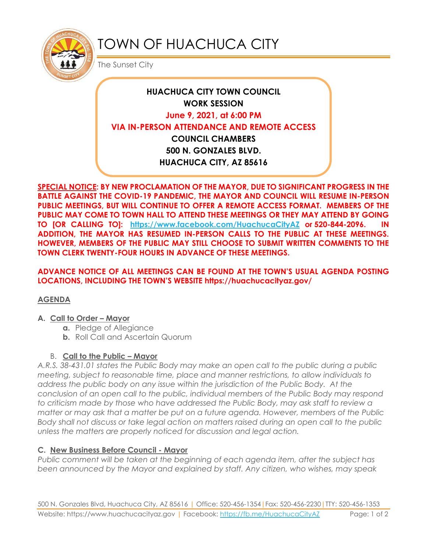

# TOWN OF HUACHUCA CITY

The Sunset City

## **HUACHUCA CITY TOWN COUNCIL WORK SESSION June 9, 2021, at 6:00 PM VIA IN-PERSON ATTENDANCE AND REMOTE ACCESS COUNCIL CHAMBERS 500 N. GONZALES BLVD. HUACHUCA CITY, AZ 85616**

**SPECIAL NOTICE: BY NEW PROCLAMATION OF THE MAYOR, DUE TO SIGNIFICANT PROGRESS IN THE BATTLE AGAINST THE COVID-19 PANDEMIC, THE MAYOR AND COUNCIL WILL RESUME IN-PERSON PUBLIC MEETINGS, BUT WILL CONTINUE TO OFFER A REMOTE ACCESS FORMAT. MEMBERS OF THE PUBLIC MAY COME TO TOWN HALL TO ATTEND THESE MEETINGS OR THEY MAY ATTEND BY GOING TO [OR CALLING TO]: <https://www.facebook.com/HuachucaCityAZ> or 520-844-2096. IN ADDITION, THE MAYOR HAS RESUMED IN-PERSON CALLS TO THE PUBLIC AT THESE MEETINGS. HOWEVER, MEMBERS OF THE PUBLIC MAY STILL CHOOSE TO SUBMIT WRITTEN COMMENTS TO THE TOWN CLERK TWENTY-FOUR HOURS IN ADVANCE OF THESE MEETINGS.** 

**ADVANCE NOTICE OF ALL MEETINGS CAN BE FOUND AT THE TOWN'S USUAL AGENDA POSTING LOCATIONS, INCLUDING THE TOWN'S WEBSITE https://huachucacityaz.gov/**

### **AGENDA**

#### **A. Call to Order – Mayor**

- **a.** Pledge of Allegiance
- **b.** Roll Call and Ascertain Quorum

### B. **Call to the Public – Mayor**

*A.R.S. 38-431.01 states the Public Body may make an open call to the public during a public meeting, subject to reasonable time, place and manner restrictions, to allow individuals to address the public body on any issue within the jurisdiction of the Public Body. At the conclusion of an open call to the public, individual members of the Public Body may respond to criticism made by those who have addressed the Public Body, may ask staff to review a matter or may ask that a matter be put on a future agenda. However, members of the Public Body shall not discuss or take legal action on matters raised during an open call to the public unless the matters are properly noticed for discussion and legal action.*

### **C. New Business Before Council - Mayor**

*Public comment will be taken at the beginning of each agenda item, after the subject has been announced by the Mayor and explained by staff. Any citizen, who wishes, may speak*